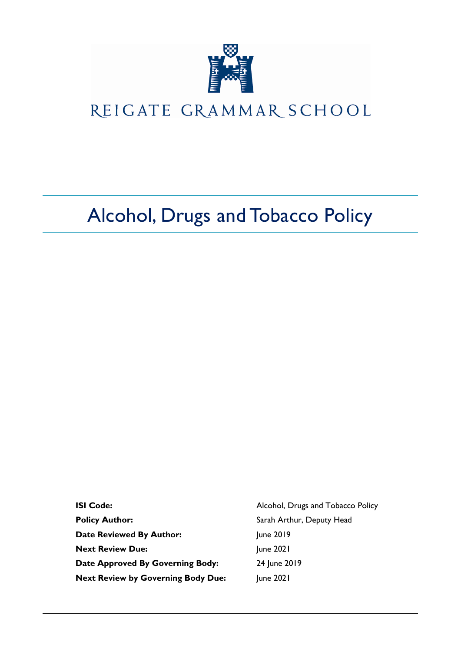

# REIGATE GRAMMAR SCHOOL

# Alcohol, Drugs and Tobacco Policy

| <b>ISI Code:</b>                          | Alcohol, Drugs and Tobacco Policy |
|-------------------------------------------|-----------------------------------|
| <b>Policy Author:</b>                     | Sarah Arthur, Deputy Head         |
| <b>Date Reviewed By Author:</b>           | June 2019                         |
| <b>Next Review Due:</b>                   | June 2021                         |
| Date Approved By Governing Body:          | 24 June 2019                      |
| <b>Next Review by Governing Body Due:</b> | June 2021                         |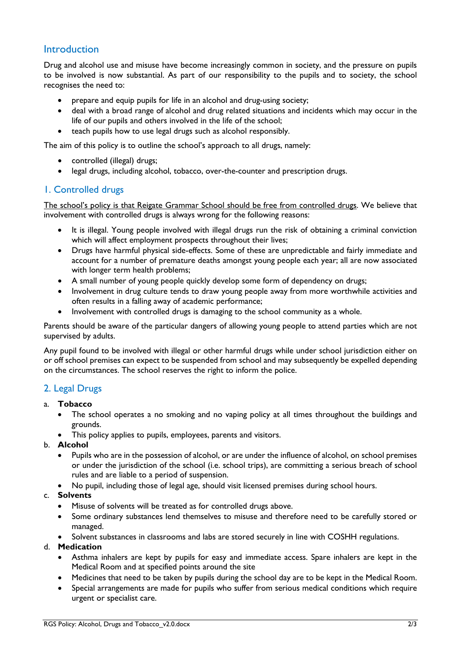# **Introduction**

Drug and alcohol use and misuse have become increasingly common in society, and the pressure on pupils to be involved is now substantial. As part of our responsibility to the pupils and to society, the school recognises the need to:

- prepare and equip pupils for life in an alcohol and drug-using society;
- deal with a broad range of alcohol and drug related situations and incidents which may occur in the life of our pupils and others involved in the life of the school;
- teach pupils how to use legal drugs such as alcohol responsibly.

The aim of this policy is to outline the school's approach to all drugs, namely:

- controlled (illegal) drugs;
- legal drugs, including alcohol, tobacco, over-the-counter and prescription drugs.

#### 1. Controlled drugs

The school's policy is that Reigate Grammar School should be free from controlled drugs. We believe that involvement with controlled drugs is always wrong for the following reasons:

- It is illegal. Young people involved with illegal drugs run the risk of obtaining a criminal conviction which will affect employment prospects throughout their lives;
- Drugs have harmful physical side-effects. Some of these are unpredictable and fairly immediate and account for a number of premature deaths amongst young people each year; all are now associated with longer term health problems;
- A small number of young people quickly develop some form of dependency on drugs;
- Involvement in drug culture tends to draw young people away from more worthwhile activities and often results in a falling away of academic performance;
- Involvement with controlled drugs is damaging to the school community as a whole.

Parents should be aware of the particular dangers of allowing young people to attend parties which are not supervised by adults.

Any pupil found to be involved with illegal or other harmful drugs while under school jurisdiction either on or off school premises can expect to be suspended from school and may subsequently be expelled depending on the circumstances. The school reserves the right to inform the police.

#### 2. Legal Drugs

- a. **Tobacco**
	- The school operates a no smoking and no vaping policy at all times throughout the buildings and grounds.
	- This policy applies to pupils, employees, parents and visitors.

#### b. **Alcohol**

- Pupils who are in the possession of alcohol, or are under the influence of alcohol, on school premises or under the jurisdiction of the school (i.e. school trips), are committing a serious breach of school rules and are liable to a period of suspension.
- No pupil, including those of legal age, should visit licensed premises during school hours.

#### c. **Solvents**

- Misuse of solvents will be treated as for controlled drugs above.
- Some ordinary substances lend themselves to misuse and therefore need to be carefully stored or managed.
- Solvent substances in classrooms and labs are stored securely in line with COSHH regulations.

#### d. **Medication**

- Asthma inhalers are kept by pupils for easy and immediate access. Spare inhalers are kept in the Medical Room and at specified points around the site
- Medicines that need to be taken by pupils during the school day are to be kept in the Medical Room.
- Special arrangements are made for pupils who suffer from serious medical conditions which require urgent or specialist care.